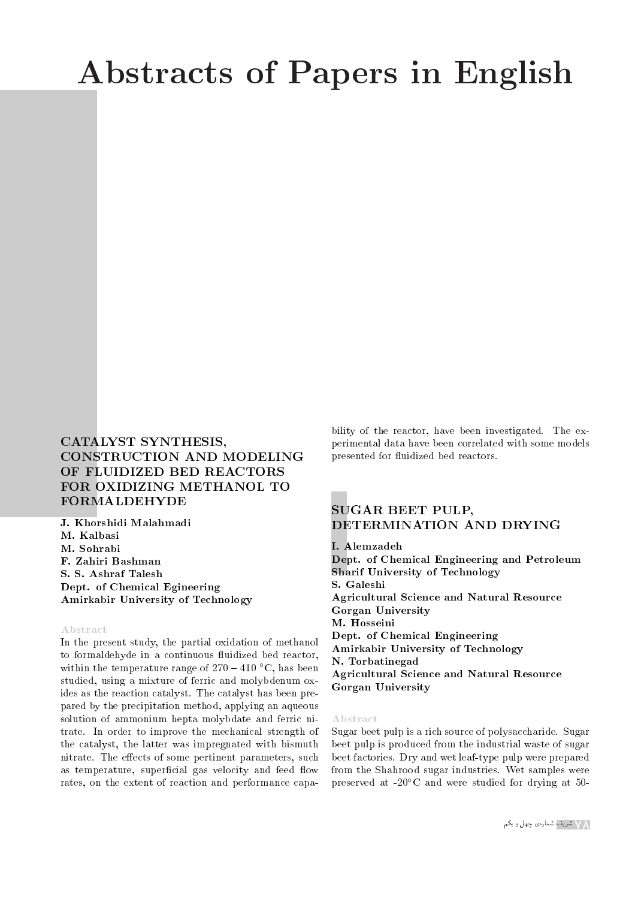# Abstracts of Papers in English

# CATALYST SYNTHESIS, CONSTRUCTION AND MODELING OF FLUIDIZED BED REACTORS FOR OXIDIZING METHANOL TO FORMALDEHYDE

J. Khorshidi Malahmadi M. Kalbasi M. Sohrabi F. Zahiri Bashman S. S. Ashraf Talesh Dept. of Chemical Egineering Amirkabir University of Technology

### Abstract

In the present study, the partial oxidation of methanol to formaldehyde in a continuous fluidized bed reactor, within the temperature range of  $270 - 410$  °C, has been studied, using a mixture of ferric and molybdenum oxides as the reaction catalyst. The catalyst has been prepared by the precipitation method, applying an aqueous solution of ammonium hepta molybdate and ferric nitrate. In order to improve the mechanical strength of the catalyst, the latter was impregnated with bismuth nitrate. The effects of some pertinent parameters, such as temperature, superficial gas velocity and feed flow rates, on the extent of reaction and performance capability of the reactor, have been investigated. The experimental data have been correlated with some models presented for fluidized bed reactors.

## SUGAR BEET PULP, DETERMINATION AND DRYING

#### I. Alemzadeh

Dept. of Chemical Engineering and Petroleum Sharif University of Technology S. Galeshi Agricultural Science and Natural Resource Gorgan University M. Hosseini Dept. of Chemical Engineering Amirkabir University of Technology N. Torbatinegad Agricultural Science and Natural Resource Gorgan University

#### Abstract

Sugar beet pulp is a rich source of polysaccharide. Sugar beet pulp is produced from the industrial waste of sugar beet factories. Dry and wet leaf-type pulp were prepared from the Shahrood sugar industries. Wet samples were preserved at  $-20^{\circ}$ C and were studied for drying at 50-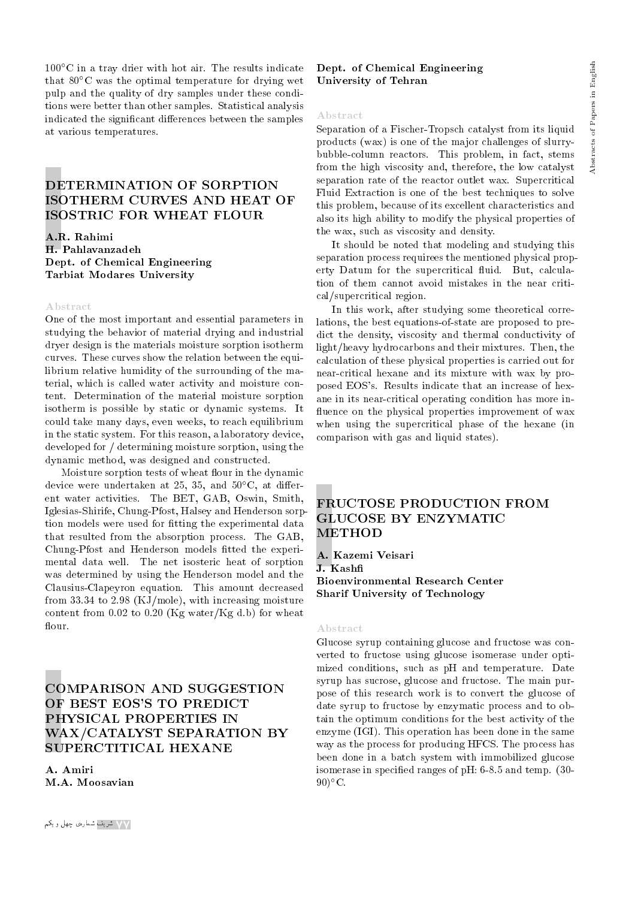$100^{\circ}$ C in a tray drier with hot air. The results indicate that  $80^{\circ}$ C was the optimal temperature for drying wet pulp and the quality of dry samples under these conditions were better than other samples. Statistical analysis indicated the significant differences between the samples at various temperatures.

# DETERMINATION OF SORPTION ISOTHERM CURVES AND HEAT OF ISOSTRIC FOR WHEAT FLOUR

A.R. Rahimi H. Pahlavanzadeh Dept. of Chemical Engineering Tarbiat Modares University

#### Abstract

One of the most important and essential parameters in studying the behavior of material drying and industrial dryer design is the materials moisture sorption isotherm curves. These curves show the relation between the equilibrium relative humidity of the surrounding of the material, which is called water activity and moisture content. Determination of the material moisture sorption isotherm is possible by static or dynamic systems. It could take many days, even weeks, to reach equilibrium in the static system. For this reason, a laboratory device, developed for / determining moisture sorption, using the dynamic method, was designed and constructed.

Moisture sorption tests of wheat flour in the dynamic device were undertaken at 25, 35, and  $50^{\circ}$ C, at different water activities. The BET, GAB, Oswin, Smith, Iglesias-Shirife, Chung-Pfost, Halsey and Henderson sorption models were used for fitting the experimental data that resulted from the absorption process. The GAB, Chung-Pfost and Henderson models fitted the experimental data well. The net isosteric heat of sorption was determined by using the Henderson model and the Clausius-Clapeyron equation. This amount decreased from 33.34 to 2.98 (KJ/mole), with increasing moisture content from 0.02 to 0.20 (Kg water/Kg d.b) for wheat flour.

# COMPARISON AND SUGGESTION OF BEST EOS'S TO PREDICT PHYSICAL PROPERTIES IN WAX/CATALYST SEPARATION BY SUPERCTITICAL HEXANE

A. Amiri M.A. Moosavian

## Dept. of Chemical Engineering University of Tehran

#### Abstract

Separation of a Fischer-Tropsch catalyst from its liquid products (wax) is one of the major challenges of slurrybubble-column reactors. This problem, in fact, stems from the high viscosity and, therefore, the low catalyst separation rate of the reactor outlet wax. Supercritical Fluid Extraction is one of the best techniques to solve this problem, because of its excellent characteristics and also its high ability to modify the physical properties of the wax, such as viscosity and density.

It should be noted that modeling and studying this separation process requirees the mentioned physical property Datum for the supercritical fluid. But, calculation of them cannot avoid mistakes in the near critical/supercritical region.

In this work, after studying some theoretical correlations, the best equations-of-state are proposed to predict the density, viscosity and thermal conductivity of light/heavy hydrocarbons and their mixtures. Then, the calculation of these physical properties is carried out for near-critical hexane and its mixture with wax by proposed EOS's. Results indicate that an increase of hexane in its near-critical operating condition has more in fluence on the physical properties improvement of wax when using the supercritical phase of the hexane (in comparison with gas and liquid states).

## FRUCTOSE PRODUCTION FROM GLUCOSE BY ENZYMATIC **METHOD**

A. Kazemi Veisari J. Kash Bioenvironmental Research Center Sharif University of Technology

#### Abstract

Glucose syrup containing glucose and fructose was converted to fructose using glucose isomerase under optimized conditions, such as pH and temperature. Date syrup has sucrose, glucose and fructose. The main purpose of this research work is to convert the glucose of date syrup to fructose by enzymatic process and to obtain the optimum conditions for the best activity of the enzyme (IGI). This operation has been done in the same way as the process for producing HFCS. The process has been done in a batch system with immobilized glucose isomerase in specied ranges of pH: 6-8.5 and temp. (30-  $90$ <sup>o</sup>C.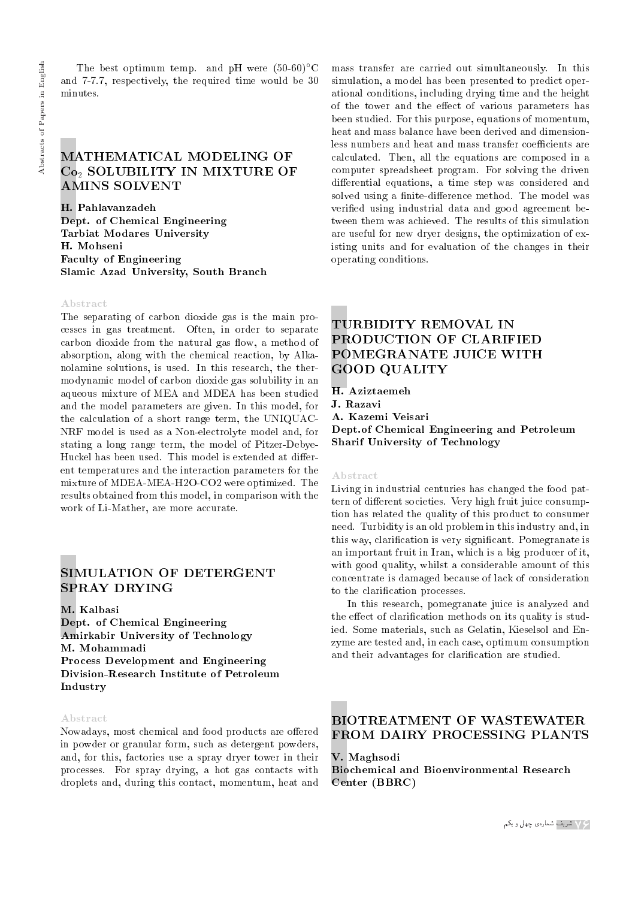The best optimum temp. and pH were  $(50-60)$ °C and 7-7.7, respectively, the required time would be 30 minutes.

## MATHEMATICAL MODELING OF Co<sub>2</sub> SOLUBILITY IN MIXTURE OF AMINS SOLVENT

H. Pahlavanzadeh Dept. of Chemical Engineering Tarbiat Modares University H. Mohseni Faculty of Engineering Slamic Azad University, South Branch

## Abstract

The separating of carbon dioxide gas is the main processes in gas treatment. Often, in order to separate carbon dioxide from the natural gas flow, a method of absorption, along with the chemical reaction, by Alkanolamine solutions, is used. In this research, the thermodynamic model of carbon dioxide gas solubility in an aqueous mixture of MEA and MDEA has been studied and the model parameters are given. In this model, for the calculation of a short range term, the UNIQUAC-NRF model is used as a Non-electrolyte model and, for stating a long range term, the model of Pitzer-Debye-Huckel has been used. This model is extended at different temperatures and the interaction parameters for the mixture of MDEA-MEA-H2O-CO2 were optimized. The results obtained from this model, in comparison with the work of Li-Mather, are more accurate.

## SIMULATION OF DETERGENT SPRAY DRYING

M. Kalbasi

Dept. of Chemical Engineering Amirkabir University of Technology M. Mohammadi Process Development and Engineering Division-Research Institute of Petroleum Industry

#### Abstract

Nowadays, most chemical and food products are offered in powder or granular form, such as detergent powders, and, for this, factories use a spray dryer tower in their processes. For spray drying, a hot gas contacts with droplets and, during this contact, momentum, heat and

mass transfer are carried out simultaneously. In this simulation, a model has been presented to predict operational conditions, including drying time and the height of the tower and the effect of various parameters has been studied. For this purpose, equations of momentum, heat and mass balance have been derived and dimensionless numbers and heat and mass transfer coefficients are calculated. Then, all the equations are composed in a computer spreadsheet program. For solving the driven differential equations, a time step was considered and solved using a finite-difference method. The model was veried using industrial data and good agreement between them was achieved. The results of this simulation are useful for new dryer designs, the optimization of existing units and for evaluation of the changes in their operating conditions.

# TURBIDITY REMOVAL IN PRODUCTION OF CLARIFIED POMEGRANATE JUICE WITH GOOD QUALITY

H. Aziztaemeh J. Razavi A. Kazemi Veisari Dept.of Chemical Engineering and Petroleum Sharif University of Technology

### Abstract

Living in industrial centuries has changed the food pattern of different societies. Very high fruit juice consumption has related the quality of this product to consumer need. Turbidity is an old problem in this industry and, in this way, clarication is very signicant. Pomegranate is an important fruit in Iran, which is a big producer of it, with good quality, whilst a considerable amount of this concentrate is damaged because of lack of consideration to the clarification processes.

In this research, pomegranate juice is analyzed and the effect of clarification methods on its quality is studied. Some materials, such as Gelatin, Kieselsol and Enzyme are tested and, in each case, optimum consumption and their advantages for clarification are studied.

# BIOTREATMENT OF WASTEWATER FROM DAIRY PROCESSING PLANTS

# V. Maghsodi

Biochemical and Bioenvironmental Research Center (BBRC)